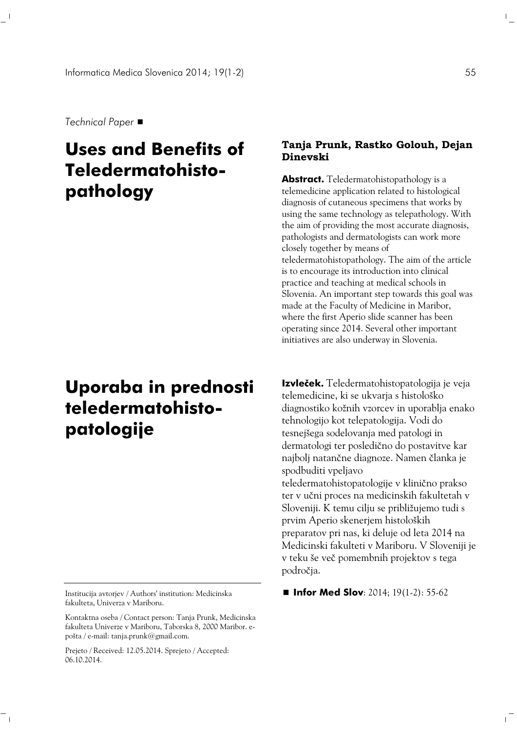*Technical Paper*

# **Uses and Benefits of Teledermatohistopathology**

# **Uporaba in prednosti teledermatohistopatologije**

Institucija avtorjev / Authors' institution: Medicinska fakulteta, Univerza v Mariboru.

Kontaktna oseba / Contact person: Tanja Prunk, Medicinska fakulteta Univerze v Mariboru, Taborska 8, 2000 Maribor. epošta / e-mail: tanja.prunk@gmail.com.

Prejeto / Received: 12.05.2014. Sprejeto / Accepted: 06.10.2014.

 $\sim$  1

#### **Tanja Prunk, Rastko Golouh, Dejan Dinevski**

**Abstract.** Teledermatohistopathology is a telemedicine application related to histological diagnosis of cutaneous specimens that works by using the same technology as telepathology. With the aim of providing the most accurate diagnosis, pathologists and dermatologists can work more closely together by means of teledermatohistopathology. The aim of the article is to encourage its introduction into clinical practice and teaching at medical schools in Slovenia. An important step towards this goal was made at the Faculty of Medicine in Maribor, where the first Aperio slide scanner has been operating since 2014. Several other important initiatives are also underway in Slovenia.

**Izvleček.** Teledermatohistopatologija je veja telemedicine, ki se ukvarja s histološko diagnostiko kožnih vzorcev in uporablja enako tehnologijo kot telepatologija. Vodi do tesnejšega sodelovanja med patologi in dermatologi ter posledično do postavitve kar najbolj natančne diagnoze. Namen članka je spodbuditi vpeljavo teledermatohistopatologije v klinično prakso ter v učni proces na medicinskih fakultetah v Sloveniji. K temu cilju se približujemo tudi s prvim Aperio skenerjem histoloških preparatov pri nas, ki deluje od leta 2014 na Medicinski fakulteti v Mariboru. V Sloveniji je v teku še več pomembnih projektov s tega področja.

 $\blacksquare$  **Infor Med Slov**: 2014; 19(1-2): 55-62

 $\mathbb{F}_q$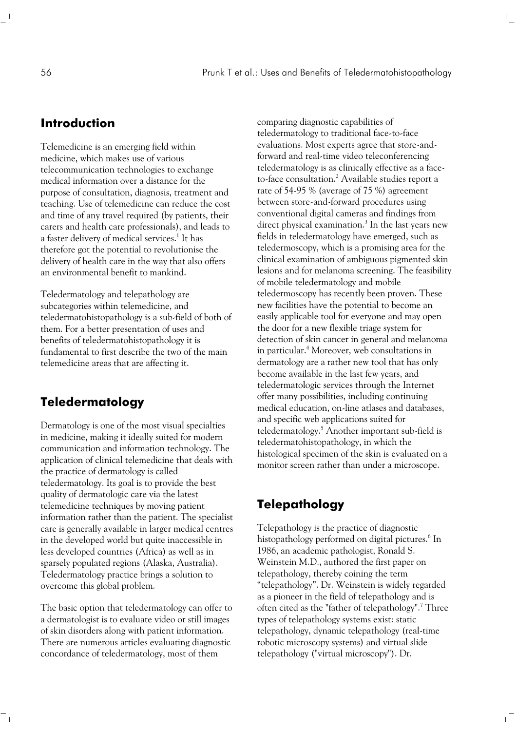$\mathbb{F}_m$ 

 $\mathbb{R}$ 

#### **Introduction**

Telemedicine is an emerging field within medicine, which makes use of various telecommunication technologies to exchange medical information over a distance for the purpose of consultation, diagnosis, treatment and teaching. Use of telemedicine can reduce the cost and time of any travel required (by patients, their carers and health care professionals), and leads to a faster delivery of medical services.<sup>1</sup> It has therefore got the potential to revolutionise the delivery of health care in the way that also offers an environmental benefit to mankind.

Teledermatology and telepathology are subcategories within telemedicine, and teledermatohistopathology is a sub-field of both of them. For a better presentation of uses and benefits of teledermatohistopathology it is fundamental to first describe the two of the main telemedicine areas that are affecting it.

### **Teledermatology**

Dermatology is one of the most visual specialties in medicine, making it ideally suited for modern communication and information technology. The application of clinical telemedicine that deals with the practice of dermatology is called teledermatology. Its goal is to provide the best quality of dermatologic care via the latest telemedicine techniques by moving patient information rather than the patient. The specialist care is generally available in larger medical centres in the developed world but quite inaccessible in less developed countries (Africa) as well as in sparsely populated regions (Alaska, Australia). Teledermatology practice brings a solution to overcome this global problem.

The basic option that teledermatology can offer to a dermatologist is to evaluate video or still images of skin disorders along with patient information. There are numerous articles evaluating diagnostic concordance of teledermatology, most of them

 $^{-}$   $_{\perp}$ 

comparing diagnostic capabilities of teledermatology to traditional face-to-face evaluations. Most experts agree that store-andforward and real-time video teleconferencing teledermatology is as clinically effective as a faceto-face consultation.<sup>2</sup> Available studies report a rate of 54-95 % (average of 75 %) agreement between store-and-forward procedures using conventional digital cameras and findings from direct physical examination.<sup>3</sup> In the last years new fields in teledermatology have emerged, such as teledermoscopy, which is a promising area for the clinical examination of ambiguous pigmented skin lesions and for melanoma screening. The feasibility of mobile teledermatology and mobile teledermoscopy has recently been proven. These new facilities have the potential to become an easily applicable tool for everyone and may open the door for a new flexible triage system for detection of skin cancer in general and melanoma in particular.4 Moreover, web consultations in dermatology are a rather new tool that has only become available in the last few years, and teledermatologic services through the Internet offer many possibilities, including continuing medical education, on-line atlases and databases, and specific web applications suited for teledermatology.<sup>5</sup> Another important sub-field is teledermatohistopathology, in which the histological specimen of the skin is evaluated on a monitor screen rather than under a microscope.

# **Telepathology**

Telepathology is the practice of diagnostic histopathology performed on digital pictures.<sup>6</sup> In 1986, an academic pathologist, Ronald S. Weinstein M.D., authored the first paper on telepathology, thereby coining the term "telepathology". Dr. Weinstein is widely regarded as a pioneer in the field of telepathology and is often cited as the "father of telepathology".<sup>7</sup> Three types of telepathology systems exist: static telepathology, dynamic telepathology (real-time robotic microscopy systems) and virtual slide telepathology ("virtual microscopy"). Dr.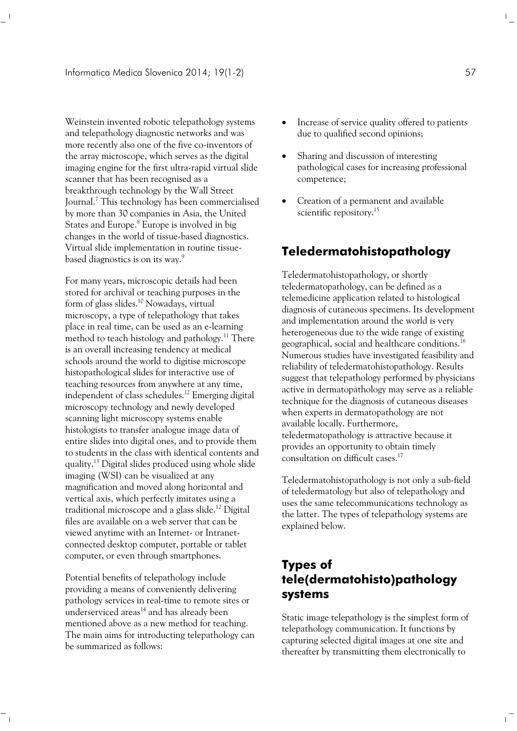Weinstein invented robotic telepathology systems and telepathology diagnostic networks and was more recently also one of the five co-inventors of the array microscope, which serves as the digital imaging engine for the first ultra-rapid virtual slide scanner that has been recognised as a breakthrough technology by the Wall Street Journal.<sup>7</sup> This technology has been commercialised by more than 30 companies in Asia, the United States and Europe.<sup>8</sup> Europe is involved in big changes in the world of tissue-based diagnostics. Virtual slide implementation in routine tissuebased diagnostics is on its way.<sup>9</sup>

For many years, microscopic details had been stored for archival or teaching purposes in the form of glass slides.10 Nowadays, virtual microscopy, a type of telepathology that takes place in real time, can be used as an e-learning method to teach histology and pathology.<sup>11</sup> There is an overall increasing tendency at medical schools around the world to digitise microscope histopathological slides for interactive use of teaching resources from anywhere at any time, independent of class schedules.<sup>12</sup> Emerging digital microscopy technology and newly developed scanning light microscopy systems enable histologists to transfer analogue image data of entire slides into digital ones, and to provide them to students in the class with identical contents and quality.13 Digital slides produced using whole slide imaging (WSI) can be visualized at any magnification and moved along horizontal and vertical axis, which perfectly imitates using a traditional microscope and a glass slide.<sup>12</sup> Digital files are available on a web server that can be viewed anytime with an Internet- or Intranetconnected desktop computer, portable or tablet computer, or even through smartphones.

Potential benefits of telepathology include providing a means of conveniently delivering pathology services in real-time to remote sites or underserviced areas<sup>14</sup> and has already been mentioned above as a new method for teaching. The main aims for introducting telepathology can be summarized as follows:

 $^{-}$   $_{\perp}$ 

- Increase of service quality offered to patients due to qualified second opinions;
- Sharing and discussion of interesting pathological cases for increasing professional competence;
- Creation of a permanent and available scientific repository.<sup>15</sup>

#### **Teledermatohistopathology**

Teledermatohistopathology, or shortly teledermatopathology, can be defined as a telemedicine application related to histological diagnosis of cutaneous specimens. Its development and implementation around the world is very heterogeneous due to the wide range of existing geographical, social and healthcare conditions.<sup>16</sup> Numerous studies have investigated feasibility and reliability of teledermatohistopathology. Results suggest that telepathology performed by physicians active in dermatopathology may serve as a reliable technique for the diagnosis of cutaneous diseases when experts in dermatopathology are not available locally. Furthermore, teledermatopathology is attractive because it provides an opportunity to obtain timely consultation on difficult cases.17

Teledermatohistopathology is not only a sub-field of teledermatology but also of telepathology and uses the same telecommunications technology as the latter. The types of telepathology systems are explained below.

# **Types of tele(dermatohisto)pathology systems**

Static image telepathology is the simplest form of telepathology communication. It functions by capturing selected digital images at one site and thereafter by transmitting them electronically to

 $\mathbb{F}_q$ 

 $\overline{1}$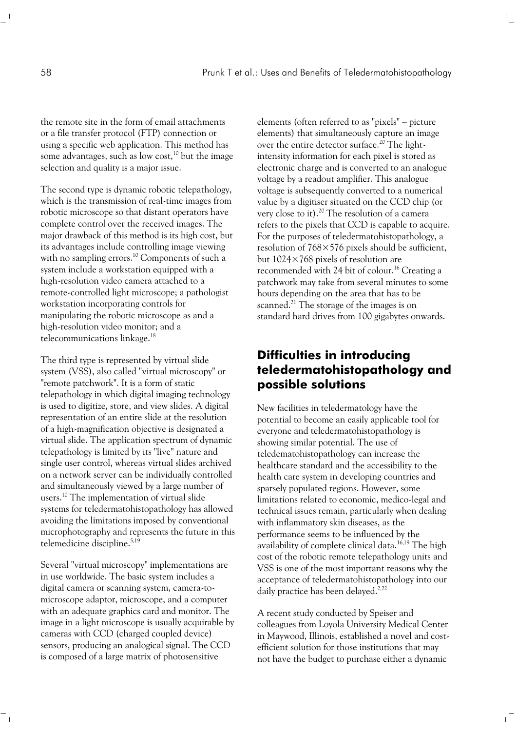$\mathbb{F}_q$ 

 $\mathbb{L}$ 

the remote site in the form of email attachments or a file transfer protocol (FTP) connection or using a specific web application. This method has some advantages, such as low cost,<sup>10</sup> but the image selection and quality is a major issue.

The second type is dynamic robotic telepathology, which is the transmission of real-time images from robotic microscope so that distant operators have complete control over the received images. The major drawback of this method is its high cost, but its advantages include controlling image viewing with no sampling errors.<sup>10</sup> Components of such a system include a workstation equipped with a high-resolution video camera attached to a remote-controlled light microscope; a pathologist workstation incorporating controls for manipulating the robotic microscope as and a high-resolution video monitor; and a telecommunications linkage.18

The third type is represented by virtual slide system (VSS), also called "virtual microscopy" or "remote patchwork". It is a form of static telepathology in which digital imaging technology is used to digitize, store, and view slides. A digital representation of an entire slide at the resolution of a high-magnification objective is designated a virtual slide. The application spectrum of dynamic telepathology is limited by its "live" nature and single user control, whereas virtual slides archived on a network server can be individually controlled and simultaneously viewed by a large number of users.10 The implementation of virtual slide systems for teledermatohistopathology has allowed avoiding the limitations imposed by conventional microphotography and represents the future in this telemedicine discipline.<sup>5,19</sup>

Several "virtual microscopy" implementations are in use worldwide. The basic system includes a digital camera or scanning system, camera-tomicroscope adaptor, microscope, and a computer with an adequate graphics card and monitor. The image in a light microscope is usually acquirable by cameras with CCD (charged coupled device) sensors, producing an analogical signal. The CCD is composed of a large matrix of photosensitive

 $^{-}$   $_{\perp}$ 

elements (often referred to as "pixels" – picture elements) that simultaneously capture an image over the entire detector surface.<sup>20</sup> The lightintensity information for each pixel is stored as electronic charge and is converted to an analogue voltage by a readout amplifier. This analogue voltage is subsequently converted to a numerical value by a digitiser situated on the CCD chip (or very close to it).<sup>20</sup> The resolution of a camera refers to the pixels that CCD is capable to acquire. For the purposes of teledermatohistopathology, a resolution of 768×576 pixels should be sufficient, but 1024×768 pixels of resolution are recommended with 24 bit of colour.<sup>16</sup> Creating a patchwork may take from several minutes to some hours depending on the area that has to be scanned.<sup>21</sup> The storage of the images is on standard hard drives from 100 gigabytes onwards.

### **Difficulties in introducing teledermatohistopathology and possible solutions**

New facilities in teledermatology have the potential to become an easily applicable tool for everyone and teledermatohistopathology is showing similar potential. The use of teledematohistopathology can increase the healthcare standard and the accessibility to the health care system in developing countries and sparsely populated regions. However, some limitations related to economic, medico-legal and technical issues remain, particularly when dealing with inflammatory skin diseases, as the performance seems to be influenced by the availability of complete clinical data.<sup>16,19</sup> The high cost of the robotic remote telepathology units and VSS is one of the most important reasons why the acceptance of teledermatohistopathology into our daily practice has been delayed.<sup>2,22</sup>

A recent study conducted by Speiser and colleagues from Loyola University Medical Center in Maywood, Illinois, established a novel and costefficient solution for those institutions that may not have the budget to purchase either a dynamic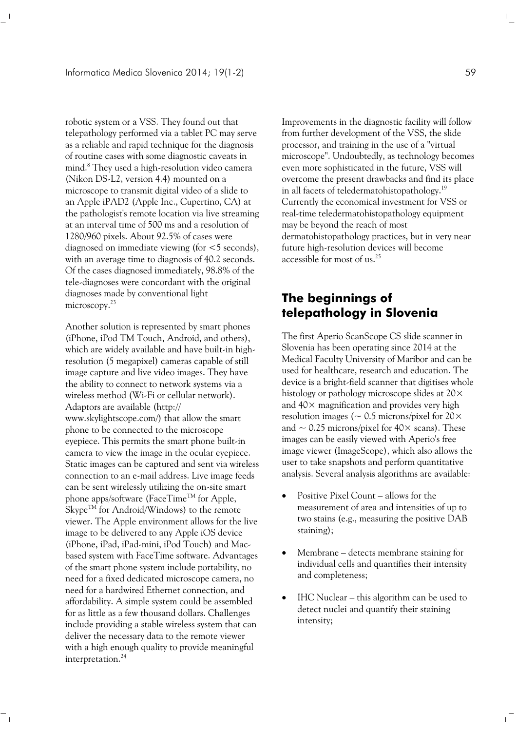robotic system or a VSS. They found out that telepathology performed via a tablet PC may serve as a reliable and rapid technique for the diagnosis of routine cases with some diagnostic caveats in mind.8 They used a high-resolution video camera (Nikon DS-L2, version 4.4) mounted on a microscope to transmit digital video of a slide to an Apple iPAD2 (Apple Inc., Cupertino, CA) at the pathologist's remote location via live streaming at an interval time of 500 ms and a resolution of 1280/960 pixels. About 92.5% of cases were diagnosed on immediate viewing (for <5 seconds), with an average time to diagnosis of 40.2 seconds. Of the cases diagnosed immediately, 98.8% of the tele-diagnoses were concordant with the original diagnoses made by conventional light microscopy.<sup>23</sup>

Another solution is represented by smart phones (iPhone, iPod TM Touch, Android, and others), which are widely available and have built-in highresolution (5 megapixel) cameras capable of still image capture and live video images. They have the ability to connect to network systems via a wireless method (Wi-Fi or cellular network). Adaptors are available (http:// www.skylightscope.com/) that allow the smart phone to be connected to the microscope eyepiece. This permits the smart phone built-in camera to view the image in the ocular eyepiece. Static images can be captured and sent via wireless connection to an e-mail address. Live image feeds can be sent wirelessly utilizing the on-site smart phone apps/software (FaceTime<sup>TM</sup> for Apple, Skype<sup>TM</sup> for Android/Windows) to the remote viewer. The Apple environment allows for the live image to be delivered to any Apple iOS device (iPhone, iPad, iPad-mini, iPod Touch) and Macbased system with FaceTime software. Advantages of the smart phone system include portability, no need for a fixed dedicated microscope camera, no need for a hardwired Ethernet connection, and affordability. A simple system could be assembled for as little as a few thousand dollars. Challenges include providing a stable wireless system that can deliver the necessary data to the remote viewer with a high enough quality to provide meaningful interpretation.<sup>24</sup>

 $^{-}$   $_{\perp}$ 

Improvements in the diagnostic facility will follow from further development of the VSS, the slide processor, and training in the use of a "virtual microscope". Undoubtedly, as technology becomes even more sophisticated in the future, VSS will overcome the present drawbacks and find its place in all facets of teledermatohistopathology.19 Currently the economical investment for VSS or real-time teledermatohistopathology equipment may be beyond the reach of most dermatohistopathology practices, but in very near future high-resolution devices will become accessible for most of us.<sup>25</sup>

### **The beginnings of telepathology in Slovenia**

The first Aperio ScanScope CS slide scanner in Slovenia has been operating since 2014 at the Medical Faculty University of Maribor and can be used for healthcare, research and education. The device is a bright-field scanner that digitises whole histology or pathology microscope slides at 20× and  $40\times$  magnification and provides very high resolution images ( $\sim$  0.5 microns/pixel for 20 $\times$ and  $\sim$  0.25 microns/pixel for 40 $\times$  scans). These images can be easily viewed with Aperio's free image viewer (ImageScope), which also allows the user to take snapshots and perform quantitative analysis. Several analysis algorithms are available:

- Positive Pixel Count allows for the measurement of area and intensities of up to two stains (e.g., measuring the positive DAB staining);
- Membrane detects membrane staining for individual cells and quantifies their intensity and completeness;
- IHC Nuclear this algorithm can be used to detect nuclei and quantify their staining intensity;

 $\mathbb{F}_\perp$ 

 $\mathbb{L}$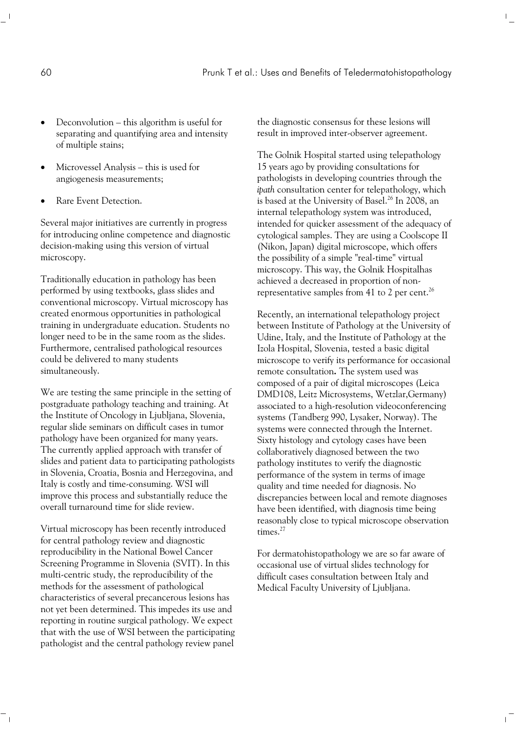- Deconvolution this algorithm is useful for separating and quantifying area and intensity of multiple stains;
- Microvessel Analysis this is used for angiogenesis measurements;
- Rare Event Detection.

Several major initiatives are currently in progress for introducing online competence and diagnostic decision-making using this version of virtual microscopy.

Traditionally education in pathology has been performed by using textbooks, glass slides and conventional microscopy. Virtual microscopy has created enormous opportunities in pathological training in undergraduate education. Students no longer need to be in the same room as the slides. Furthermore, centralised pathological resources could be delivered to many students simultaneously.

We are testing the same principle in the setting of postgraduate pathology teaching and training. At the Institute of Oncology in Ljubljana, Slovenia, regular slide seminars on difficult cases in tumor pathology have been organized for many years. The currently applied approach with transfer of slides and patient data to participating pathologists in Slovenia, Croatia, Bosnia and Herzegovina, and Italy is costly and time-consuming. WSI will improve this process and substantially reduce the overall turnaround time for slide review.

Virtual microscopy has been recently introduced for central pathology review and diagnostic reproducibility in the National Bowel Cancer Screening Programme in Slovenia (SVIT). In this multi-centric study, the reproducibility of the methods for the assessment of pathological characteristics of several precancerous lesions has not yet been determined. This impedes its use and reporting in routine surgical pathology. We expect that with the use of WSI between the participating pathologist and the central pathology review panel

 $\sim$  1

the diagnostic consensus for these lesions will result in improved inter-observer agreement.

 $\mathbb{F}_q$ 

 $\mathbb{R}$ 

The Golnik Hospital started using telepathology 15 years ago by providing consultations for pathologists in developing countries through the *ipath* consultation center for telepathology, which is based at the University of Basel.<sup>26</sup> In 2008, an internal telepathology system was introduced, intended for quicker assessment of the adequacy of cytological samples. They are using a Coolscope II (Nikon, Japan) digital microscope, which offers the possibility of a simple "real-time" virtual microscopy. This way, the Golnik Hospitalhas achieved a decreased in proportion of nonrepresentative samples from 41 to 2 per cent.<sup>26</sup>

Recently, an international telepathology project between Institute of Pathology at the University of Udine, Italy, and the Institute of Pathology at the Izola Hospital, Slovenia, tested a basic digital microscope to verify its performance for occasional remote consultation**.** The system used was composed of a pair of digital microscopes (Leica DMD108, Leitz Microsystems, Wetzlar,Germany) associated to a high-resolution videoconferencing systems (Tandberg 990, Lysaker, Norway). The systems were connected through the Internet. Sixty histology and cytology cases have been collaboratively diagnosed between the two pathology institutes to verify the diagnostic performance of the system in terms of image quality and time needed for diagnosis. No discrepancies between local and remote diagnoses have been identified, with diagnosis time being reasonably close to typical microscope observation times.<sup>27</sup>

For dermatohistopathology we are so far aware of occasional use of virtual slides technology for difficult cases consultation between Italy and Medical Faculty University of Ljubljana.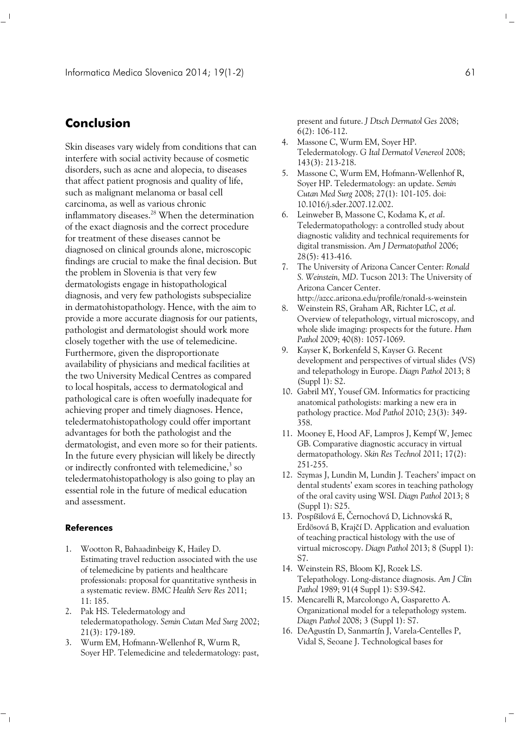### **Conclusion**

Skin diseases vary widely from conditions that can interfere with social activity because of cosmetic disorders, such as acne and alopecia, to diseases that affect patient prognosis and quality of life, such as malignant melanoma or basal cell carcinoma, as well as various chronic inflammatory diseases.<sup>28</sup> When the determination of the exact diagnosis and the correct procedure for treatment of these diseases cannot be diagnosed on clinical grounds alone, microscopic findings are crucial to make the final decision. But the problem in Slovenia is that very few dermatologists engage in histopathological diagnosis, and very few pathologists subspecialize in dermatohistopathology. Hence, with the aim to provide a more accurate diagnosis for our patients, pathologist and dermatologist should work more closely together with the use of telemedicine. Furthermore, given the disproportionate availability of physicians and medical facilities at the two University Medical Centres as compared to local hospitals, access to dermatological and pathological care is often woefully inadequate for achieving proper and timely diagnoses. Hence, teledermatohistopathology could offer important advantages for both the pathologist and the dermatologist, and even more so for their patients. In the future every physician will likely be directly or indirectly confronted with telemedicine, $3$  so teledermatohistopathology is also going to play an essential role in the future of medical education and assessment.

#### **References**

 $\sim$  1

- 1. Wootton R, Bahaadinbeigy K, Hailey D. Estimating travel reduction associated with the use of telemedicine by patients and healthcare professionals: proposal for quantitative synthesis in a systematic review. *BMC Health Serv Res* 2011; 11: 185.
- 2. Pak HS. Teledermatology and teledermatopathology. *Semin Cutan Med Surg* 2002; 21(3): 179-189.
- 3. Wurm EM, Hofmann-Wellenhof R, Wurm R, Soyer HP. Telemedicine and teledermatology: past,

present and future. *J Dtsch Dermatol Ges* 2008; 6(2): 106-112.

- 4. Massone C, Wurm EM, Soyer HP. Teledermatology. *G Ital Dermatol Venereol* 2008; 143(3): 213-218.
- 5. Massone C, Wurm EM, Hofmann-Wellenhof R, Soyer HP. Teledermatology: an update. *Semin Cutan Med Surg* 2008; 27(1): 101-105. doi: 10.1016/j.sder.2007.12.002.
- 6. Leinweber B, Massone C, Kodama K, *et al*. Teledermatopathology: a controlled study about diagnostic validity and technical requirements for digital transmission. *Am J Dermatopathol* 2006; 28(5): 413-416.
- 7. The University of Arizona Cancer Center: *Ronald S. Weinstein, MD*. Tucson 2013: The University of Arizona Cancer Center. http://azcc.arizona.edu/profile/ronald-s-weinstein
- 8. Weinstein RS, Graham AR, Richter LC, *et al*. Overview of telepathology, virtual microscopy, and whole slide imaging: prospects for the future. *Hum Pathol* 2009; 40(8): 1057-1069.
- 9. Kayser K, Borkenfeld S, Kayser G. Recent development and perspectives of virtual slides (VS) and telepathology in Europe. *Diagn Pathol* 2013; 8 (Suppl 1): S2.
- 10. Gabril MY, Yousef GM. Informatics for practicing anatomical pathologists: marking a new era in pathology practice. *Mod Pathol* 2010; 23(3): 349- 358.
- 11. Mooney E, Hood AF, Lampros J, Kempf W, Jemec GB. Comparative diagnostic accuracy in virtual dermatopathology. *Skin Res Technol* 2011; 17(2): 251-255.
- 12. Szymas J, Lundin M, Lundin J. Teachers' impact on dental students' exam scores in teaching pathology of the oral cavity using WSI. *Diagn Pathol* 2013; 8 (Suppl 1): S25.
- 13. Pospíšilová E, Černochová D, Lichnovská R, Erdösová B, Krajčí D. Application and evaluation of teaching practical histology with the use of virtual microscopy. *Diagn Pathol* 2013; 8 (Suppl 1): S7.
- 14. Weinstein RS, Bloom KJ, Rozek LS. Telepathology. Long-distance diagnosis. *Am J Clin Pathol* 1989; 91(4 Suppl 1): S39-S42.
- 15. Mencarelli R, Marcolongo A, Gasparetto A. Organizational model for a telepathology system. *Diagn Pathol* 2008; 3 (Suppl 1): S7.
- 16. DeAgustín D, Sanmartín J, Varela-Centelles P, Vidal S, Seoane J. Technological bases for

 $\|$ 

 $\overline{1}$